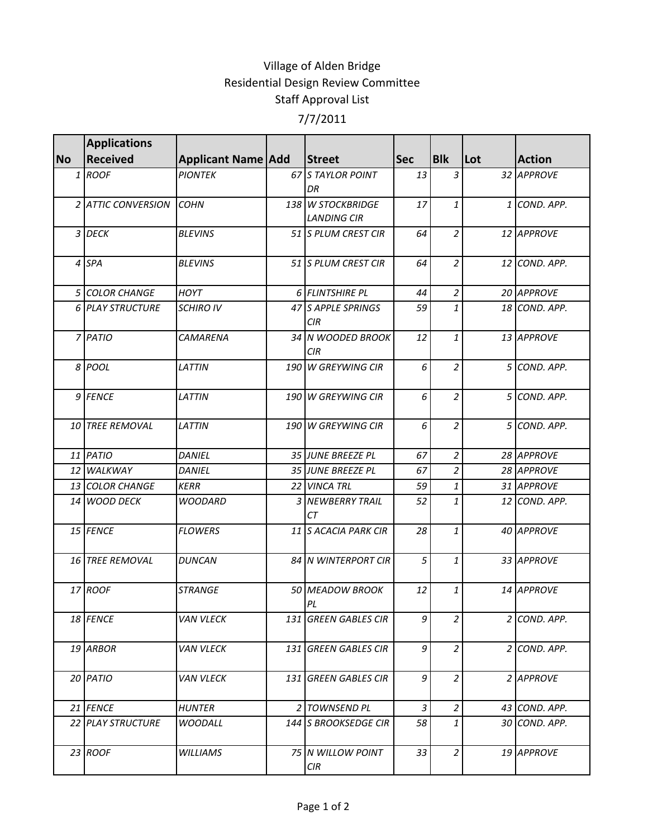## Village of Alden Bridge Residential Design Review Committee Staff Approval List 7/7/2011

|           | <b>Applications</b> |                           |                                  |            |                |     |               |
|-----------|---------------------|---------------------------|----------------------------------|------------|----------------|-----|---------------|
| <b>No</b> | <b>Received</b>     | <b>Applicant Name Add</b> | <b>Street</b>                    | <b>Sec</b> | <b>Blk</b>     | Lot | <b>Action</b> |
| 1         | <b>ROOF</b>         | <b>PIONTEK</b>            | 67 S TAYLOR POINT                | 13         | 3              |     | 32 APPROVE    |
|           |                     |                           | DR                               |            |                |     |               |
|           | 2 ATTIC CONVERSION  | <b>COHN</b>               | 138 W STOCKBRIDGE                | 17         | $\mathbf{1}$   |     | 1 COND. APP.  |
|           |                     |                           | <b>LANDING CIR</b>               |            |                |     |               |
|           | 3 DECK              | <b>BLEVINS</b>            | 51 S PLUM CREST CIR              | 64         | $\overline{a}$ |     | 12 APPROVE    |
|           | 4 SPA               | <b>BLEVINS</b>            | 51 S PLUM CREST CIR              | 64         | $\overline{a}$ |     | 12 COND. APP. |
|           | 5 COLOR CHANGE      | <b>HOYT</b>               | 6 FLINTSHIRE PL                  | 44         | $\overline{2}$ |     | 20 APPROVE    |
|           | 6 PLAY STRUCTURE    | <b>SCHIRO IV</b>          | 47 S APPLE SPRINGS<br><b>CIR</b> | 59         | $\mathbf{1}$   |     | 18 COND. APP. |
|           | 7 PATIO             | CAMARENA                  | 34 N WOODED BROOK<br><b>CIR</b>  | 12         | $\mathbf{1}$   |     | 13 APPROVE    |
|           | 8 POOL              | <b>LATTIN</b>             | 190 W GREYWING CIR               | 6          | $\overline{c}$ |     | 5 COND. APP.  |
|           | 9 FENCE             | LATTIN                    | 190 W GREYWING CIR               | 6          | $\overline{2}$ |     | 5 COND. APP.  |
|           | 10 TREE REMOVAL     | <b>LATTIN</b>             | 190 W GREYWING CIR               | 6          | $\overline{2}$ |     | 5 COND. APP.  |
|           | 11 PATIO            | <b>DANIEL</b>             | 35 JUNE BREEZE PL                | 67         | $\overline{2}$ |     | 28 APPROVE    |
|           | 12 WALKWAY          | <b>DANIEL</b>             | 35 JUNE BREEZE PL                | 67         | $\overline{a}$ |     | 28 APPROVE    |
|           | 13 COLOR CHANGE     | <b>KERR</b>               | 22 VINCA TRL                     | 59         | 1              |     | 31 APPROVE    |
|           | 14 WOOD DECK        | <b>WOODARD</b>            | 3 NEWBERRY TRAIL<br>CТ           | 52         | 1              |     | 12 COND. APP. |
|           | 15 FENCE            | <b>FLOWERS</b>            | 11 S ACACIA PARK CIR             | 28         | $\mathbf{1}$   |     | 40 APPROVE    |
|           | 16 TREE REMOVAL     | <b>DUNCAN</b>             | 84 N WINTERPORT CIR              | 5          | $\mathbf{1}$   |     | 33 APPROVE    |
|           | 17 ROOF             | <b>STRANGE</b>            | <b>50 MEADOW BROOK</b><br>PL     | 12         | 1              |     | 14 APPROVE    |
|           | 18 FENCE            | <b>VAN VLECK</b>          | 131 GREEN GABLES CIR             | 9          | 2              |     | 2 COND. APP.  |
|           | 19 ARBOR            | <b>VAN VLECK</b>          | 131 GREEN GABLES CIR             | 9          | $\overline{a}$ |     | 2 COND. APP.  |
|           | 20 PATIO            | <b>VAN VLECK</b>          | 131 GREEN GABLES CIR             | 9          | $\overline{2}$ |     | 2 APPROVE     |
|           | 21 FENCE            | <b>HUNTER</b>             | 2 TOWNSEND PL                    | 3          | $\overline{a}$ |     | 43 COND. APP. |
|           | 22 PLAY STRUCTURE   | <b>WOODALL</b>            | 144 S BROOKSEDGE CIR             | 58         | $\mathbf{1}$   |     | 30 COND. APP. |
|           | $23$ ROOF           | <b>WILLIAMS</b>           | 75 IN WILLOW POINT<br>CIR        | 33         | $\overline{a}$ |     | 19 APPROVE    |